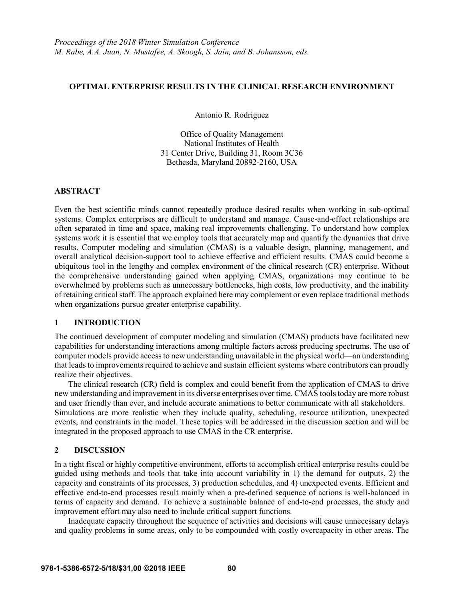## **OPTIMAL ENTERPRISE RESULTS IN THE CLINICAL RESEARCH ENVIRONMENT**

Antonio R. Rodriguez

Office of Quality Management National Institutes of Health 31 Center Drive, Building 31, Room 3C36 Bethesda, Maryland 20892-2160, USA

### **ABSTRACT**

Even the best scientific minds cannot repeatedly produce desired results when working in sub-optimal systems. Complex enterprises are difficult to understand and manage. Cause-and-effect relationships are often separated in time and space, making real improvements challenging. To understand how complex systems work it is essential that we employ tools that accurately map and quantify the dynamics that drive results. Computer modeling and simulation (CMAS) is a valuable design, planning, management, and overall analytical decision-support tool to achieve effective and efficient results. CMAS could become a ubiquitous tool in the lengthy and complex environment of the clinical research (CR) enterprise. Without the comprehensive understanding gained when applying CMAS, organizations may continue to be overwhelmed by problems such as unnecessary bottlenecks, high costs, low productivity, and the inability of retaining critical staff. The approach explained here may complement or even replace traditional methods when organizations pursue greater enterprise capability.

## **1 INTRODUCTION**

The continued development of computer modeling and simulation (CMAS) products have facilitated new capabilities for understanding interactions among multiple factors across producing spectrums. The use of computer models provide access to new understanding unavailable in the physical world—an understanding that leads to improvements required to achieve and sustain efficient systems where contributors can proudly realize their objectives.

The clinical research (CR) field is complex and could benefit from the application of CMAS to drive new understanding and improvement in its diverse enterprises over time. CMAS tools today are more robust and user friendly than ever, and include accurate animations to better communicate with all stakeholders. Simulations are more realistic when they include quality, scheduling, resource utilization, unexpected events, and constraints in the model. These topics will be addressed in the discussion section and will be integrated in the proposed approach to use CMAS in the CR enterprise.

# **2 DISCUSSION**

In a tight fiscal or highly competitive environment, efforts to accomplish critical enterprise results could be guided using methods and tools that take into account variability in 1) the demand for outputs, 2) the capacity and constraints of its processes, 3) production schedules, and 4) unexpected events. Efficient and effective end-to-end processes result mainly when a pre-defined sequence of actions is well-balanced in terms of capacity and demand. To achieve a sustainable balance of end-to-end processes, the study and improvement effort may also need to include critical support functions.

Inadequate capacity throughout the sequence of activities and decisions will cause unnecessary delays and quality problems in some areas, only to be compounded with costly overcapacity in other areas. The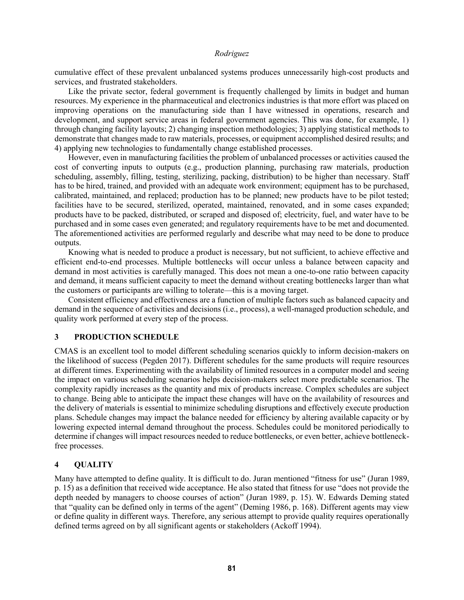cumulative effect of these prevalent unbalanced systems produces unnecessarily high-cost products and services, and frustrated stakeholders.

Like the private sector, federal government is frequently challenged by limits in budget and human resources. My experience in the pharmaceutical and electronics industries is that more effort was placed on improving operations on the manufacturing side than I have witnessed in operations, research and development, and support service areas in federal government agencies. This was done, for example, 1) through changing facility layouts; 2) changing inspection methodologies; 3) applying statistical methods to demonstrate that changes made to raw materials, processes, or equipment accomplished desired results; and 4) applying new technologies to fundamentally change established processes.

However, even in manufacturing facilities the problem of unbalanced processes or activities caused the cost of converting inputs to outputs (e.g., production planning, purchasing raw materials, production scheduling, assembly, filling, testing, sterilizing, packing, distribution) to be higher than necessary. Staff has to be hired, trained, and provided with an adequate work environment; equipment has to be purchased, calibrated, maintained, and replaced; production has to be planned; new products have to be pilot tested; facilities have to be secured, sterilized, operated, maintained, renovated, and in some cases expanded; products have to be packed, distributed, or scraped and disposed of; electricity, fuel, and water have to be purchased and in some cases even generated; and regulatory requirements have to be met and documented. The aforementioned activities are performed regularly and describe what may need to be done to produce outputs.

Knowing what is needed to produce a product is necessary, but not sufficient, to achieve effective and efficient end-to-end processes. Multiple bottlenecks will occur unless a balance between capacity and demand in most activities is carefully managed. This does not mean a one-to-one ratio between capacity and demand, it means sufficient capacity to meet the demand without creating bottlenecks larger than what the customers or participants are willing to tolerate—this is a moving target.

Consistent efficiency and effectiveness are a function of multiple factors such as balanced capacity and demand in the sequence of activities and decisions (i.e., process), a well-managed production schedule, and quality work performed at every step of the process.

### **3 PRODUCTION SCHEDULE**

CMAS is an excellent tool to model different scheduling scenarios quickly to inform decision-makers on the likelihood of success (Pegden 2017). Different schedules for the same products will require resources at different times. Experimenting with the availability of limited resources in a computer model and seeing the impact on various scheduling scenarios helps decision-makers select more predictable scenarios. The complexity rapidly increases as the quantity and mix of products increase. Complex schedules are subject to change. Being able to anticipate the impact these changes will have on the availability of resources and the delivery of materials is essential to minimize scheduling disruptions and effectively execute production plans. Schedule changes may impact the balance needed for efficiency by altering available capacity or by lowering expected internal demand throughout the process. Schedules could be monitored periodically to determine if changes will impact resources needed to reduce bottlenecks, or even better, achieve bottleneckfree processes.

## **4 QUALITY**

Many have attempted to define quality. It is difficult to do. Juran mentioned "fitness for use" (Juran 1989, p. 15) as a definition that received wide acceptance. He also stated that fitness for use "does not provide the depth needed by managers to choose courses of action" (Juran 1989, p. 15). W. Edwards Deming stated that "quality can be defined only in terms of the agent" (Deming 1986, p. 168). Different agents may view or define quality in different ways. Therefore, any serious attempt to provide quality requires operationally defined terms agreed on by all significant agents or stakeholders (Ackoff 1994).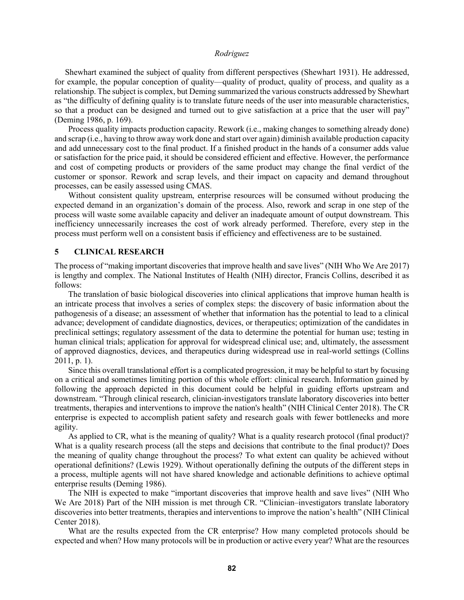Shewhart examined the subject of quality from different perspectives (Shewhart 1931). He addressed, for example, the popular conception of quality—quality of product, quality of process, and quality as a relationship. The subject is complex, but Deming summarized the various constructs addressed by Shewhart as "the difficulty of defining quality is to translate future needs of the user into measurable characteristics, so that a product can be designed and turned out to give satisfaction at a price that the user will pay" (Deming 1986, p. 169).

Process quality impacts production capacity. Rework (i.e., making changes to something already done) and scrap (i.e., having to throw away work done and start over again) diminish available production capacity and add unnecessary cost to the final product. If a finished product in the hands of a consumer adds value or satisfaction for the price paid, it should be considered efficient and effective. However, the performance and cost of competing products or providers of the same product may change the final verdict of the customer or sponsor. Rework and scrap levels, and their impact on capacity and demand throughout processes, can be easily assessed using CMAS.

Without consistent quality upstream, enterprise resources will be consumed without producing the expected demand in an organization's domain of the process. Also, rework and scrap in one step of the process will waste some available capacity and deliver an inadequate amount of output downstream. This inefficiency unnecessarily increases the cost of work already performed. Therefore, every step in the process must perform well on a consistent basis if efficiency and effectiveness are to be sustained.

#### **5 CLINICAL RESEARCH**

The process of "making important discoveries that improve health and save lives" (NIH Who We Are 2017) is lengthy and complex. The National Institutes of Health (NIH) director, Francis Collins, described it as follows:

The translation of basic biological discoveries into clinical applications that improve human health is an intricate process that involves a series of complex steps: the discovery of basic information about the pathogenesis of a disease; an assessment of whether that information has the potential to lead to a clinical advance; development of candidate diagnostics, devices, or therapeutics; optimization of the candidates in preclinical settings; regulatory assessment of the data to determine the potential for human use; testing in human clinical trials; application for approval for widespread clinical use; and, ultimately, the assessment of approved diagnostics, devices, and therapeutics during widespread use in real-world settings (Collins 2011, p. 1).

Since this overall translational effort is a complicated progression, it may be helpful to start by focusing on a critical and sometimes limiting portion of this whole effort: clinical research. Information gained by following the approach depicted in this document could be helpful in guiding efforts upstream and downstream. "Through clinical research, clinician-investigators translate laboratory discoveries into better treatments, therapies and interventions to improve the nation's health" (NIH Clinical Center 2018). The CR enterprise is expected to accomplish patient safety and research goals with fewer bottlenecks and more agility.

As applied to CR, what is the meaning of quality? What is a quality research protocol (final product)? What is a quality research process (all the steps and decisions that contribute to the final product)? Does the meaning of quality change throughout the process? To what extent can quality be achieved without operational definitions? (Lewis 1929). Without operationally defining the outputs of the different steps in a process, multiple agents will not have shared knowledge and actionable definitions to achieve optimal enterprise results (Deming 1986).

The NIH is expected to make "important discoveries that improve health and save lives" (NIH Who We Are 2018) Part of the NIH mission is met through CR. "Clinician–investigators translate laboratory discoveries into better treatments, therapies and interventions to improve the nation's health" (NIH Clinical Center 2018).

What are the results expected from the CR enterprise? How many completed protocols should be expected and when? How many protocols will be in production or active every year? What are the resources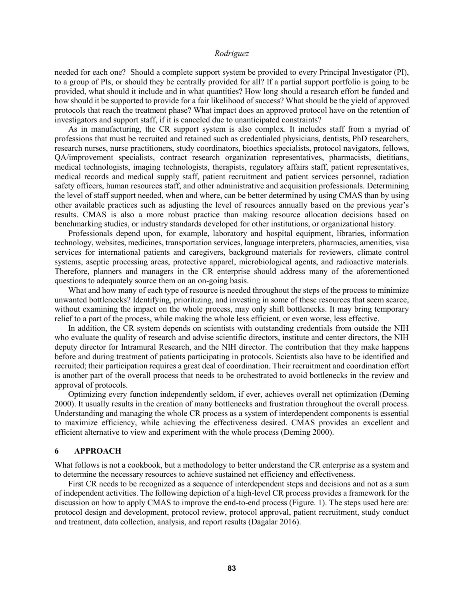needed for each one? Should a complete support system be provided to every Principal Investigator (PI), to a group of PIs, or should they be centrally provided for all? If a partial support portfolio is going to be provided, what should it include and in what quantities? How long should a research effort be funded and how should it be supported to provide for a fair likelihood of success? What should be the yield of approved protocols that reach the treatment phase? What impact does an approved protocol have on the retention of investigators and support staff, if it is canceled due to unanticipated constraints?

As in manufacturing, the CR support system is also complex. It includes staff from a myriad of professions that must be recruited and retained such as credentialed physicians, dentists, PhD researchers, research nurses, nurse practitioners, study coordinators, bioethics specialists, protocol navigators, fellows, QA/improvement specialists, contract research organization representatives, pharmacists, dietitians, medical technologists, imaging technologists, therapists, regulatory affairs staff, patient representatives, medical records and medical supply staff, patient recruitment and patient services personnel, radiation safety officers, human resources staff, and other administrative and acquisition professionals. Determining the level of staff support needed, when and where, can be better determined by using CMAS than by using other available practices such as adjusting the level of resources annually based on the previous year's results. CMAS is also a more robust practice than making resource allocation decisions based on benchmarking studies, or industry standards developed for other institutions, or organizational history.

Professionals depend upon, for example, laboratory and hospital equipment, libraries, information technology, websites, medicines, transportation services, language interpreters, pharmacies, amenities, visa services for international patients and caregivers, background materials for reviewers, climate control systems, aseptic processing areas, protective apparel, microbiological agents, and radioactive materials. Therefore, planners and managers in the CR enterprise should address many of the aforementioned questions to adequately source them on an on-going basis.

What and how many of each type of resource is needed throughout the steps of the process to minimize unwanted bottlenecks? Identifying, prioritizing, and investing in some of these resources that seem scarce, without examining the impact on the whole process, may only shift bottlenecks. It may bring temporary relief to a part of the process, while making the whole less efficient, or even worse, less effective.

In addition, the CR system depends on scientists with outstanding credentials from outside the NIH who evaluate the quality of research and advise scientific directors, institute and center directors, the NIH deputy director for Intramural Research, and the NIH director. The contribution that they make happens before and during treatment of patients participating in protocols. Scientists also have to be identified and recruited; their participation requires a great deal of coordination. Their recruitment and coordination effort is another part of the overall process that needs to be orchestrated to avoid bottlenecks in the review and approval of protocols.

Optimizing every function independently seldom, if ever, achieves overall net optimization (Deming 2000). It usually results in the creation of many bottlenecks and frustration throughout the overall process. Understanding and managing the whole CR process as a system of interdependent components is essential to maximize efficiency, while achieving the effectiveness desired. CMAS provides an excellent and efficient alternative to view and experiment with the whole process (Deming 2000).

### **6 APPROACH**

What follows is not a cookbook, but a methodology to better understand the CR enterprise as a system and to determine the necessary resources to achieve sustained net efficiency and effectiveness.

First CR needs to be recognized as a sequence of interdependent steps and decisions and not as a sum of independent activities. The following depiction of a high-level CR process provides a framework for the discussion on how to apply CMAS to improve the end-to-end process (Figure. 1). The steps used here are: protocol design and development, protocol review, protocol approval, patient recruitment, study conduct and treatment, data collection, analysis, and report results (Dagalar 2016).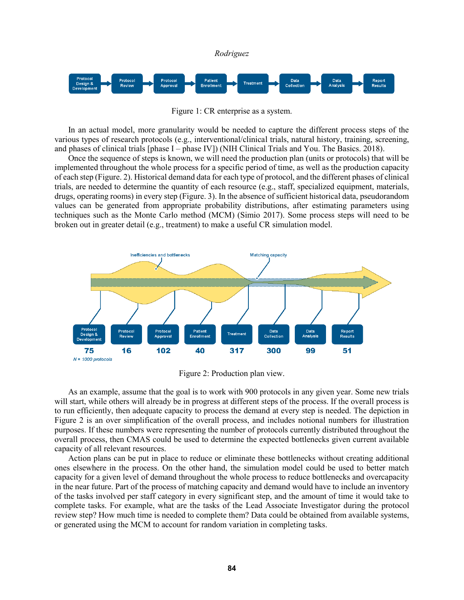

Figure 1: CR enterprise as a system.

In an actual model, more granularity would be needed to capture the different process steps of the various types of research protocols (e.g., interventional/clinical trials, natural history, training, screening, and phases of clinical trials [phase I – phase IV]) (NIH Clinical Trials and You. The Basics. 2018).

Once the sequence of steps is known, we will need the production plan (units or protocols) that will be implemented throughout the whole process for a specific period of time, as well as the production capacity of each step (Figure. 2). Historical demand data for each type of protocol, and the different phases of clinical trials, are needed to determine the quantity of each resource (e.g., staff, specialized equipment, materials, drugs, operating rooms) in every step (Figure. 3). In the absence of sufficient historical data, pseudorandom values can be generated from appropriate probability distributions, after estimating parameters using techniques such as the Monte Carlo method (MCM) (Simio 2017). Some process steps will need to be broken out in greater detail (e.g., treatment) to make a useful CR simulation model.



Figure 2: Production plan view.

As an example, assume that the goal is to work with 900 protocols in any given year. Some new trials will start, while others will already be in progress at different steps of the process. If the overall process is to run efficiently, then adequate capacity to process the demand at every step is needed. The depiction in Figure 2 is an over simplification of the overall process, and includes notional numbers for illustration purposes. If these numbers were representing the number of protocols currently distributed throughout the overall process, then CMAS could be used to determine the expected bottlenecks given current available capacity of all relevant resources.

Action plans can be put in place to reduce or eliminate these bottlenecks without creating additional ones elsewhere in the process. On the other hand, the simulation model could be used to better match capacity for a given level of demand throughout the whole process to reduce bottlenecks and overcapacity in the near future. Part of the process of matching capacity and demand would have to include an inventory of the tasks involved per staff category in every significant step, and the amount of time it would take to complete tasks. For example, what are the tasks of the Lead Associate Investigator during the protocol review step? How much time is needed to complete them? Data could be obtained from available systems, or generated using the MCM to account for random variation in completing tasks.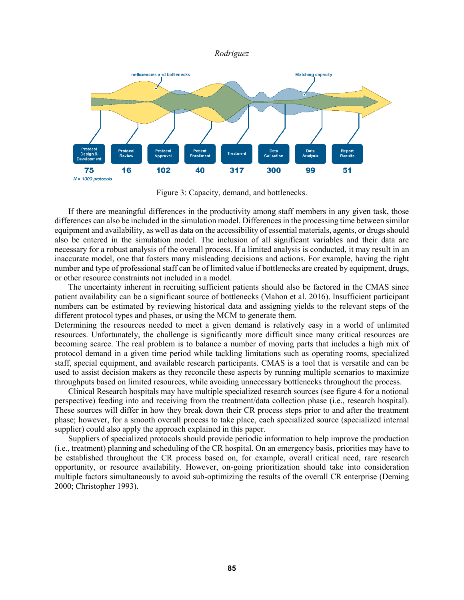



Figure 3: Capacity, demand, and bottlenecks.

If there are meaningful differences in the productivity among staff members in any given task, those differences can also be included in the simulation model. Differences in the processing time between similar equipment and availability, as well as data on the accessibility of essential materials, agents, or drugs should also be entered in the simulation model. The inclusion of all significant variables and their data are necessary for a robust analysis of the overall process. If a limited analysis is conducted, it may result in an inaccurate model, one that fosters many misleading decisions and actions. For example, having the right number and type of professional staff can be of limited value if bottlenecks are created by equipment, drugs, or other resource constraints not included in a model.

The uncertainty inherent in recruiting sufficient patients should also be factored in the CMAS since patient availability can be a significant source of bottlenecks (Mahon et al. 2016). Insufficient participant numbers can be estimated by reviewing historical data and assigning yields to the relevant steps of the different protocol types and phases, or using the MCM to generate them.

Determining the resources needed to meet a given demand is relatively easy in a world of unlimited resources. Unfortunately, the challenge is significantly more difficult since many critical resources are becoming scarce. The real problem is to balance a number of moving parts that includes a high mix of protocol demand in a given time period while tackling limitations such as operating rooms, specialized staff, special equipment, and available research participants. CMAS is a tool that is versatile and can be used to assist decision makers as they reconcile these aspects by running multiple scenarios to maximize throughputs based on limited resources, while avoiding unnecessary bottlenecks throughout the process.

Clinical Research hospitals may have multiple specialized research sources (see figure 4 for a notional perspective) feeding into and receiving from the treatment/data collection phase (i.e., research hospital). These sources will differ in how they break down their CR process steps prior to and after the treatment phase; however, for a smooth overall process to take place, each specialized source (specialized internal supplier) could also apply the approach explained in this paper.

Suppliers of specialized protocols should provide periodic information to help improve the production (i.e., treatment) planning and scheduling of the CR hospital. On an emergency basis, priorities may have to be established throughout the CR process based on, for example, overall critical need, rare research opportunity, or resource availability. However, on-going prioritization should take into consideration multiple factors simultaneously to avoid sub-optimizing the results of the overall CR enterprise (Deming 2000; Christopher 1993).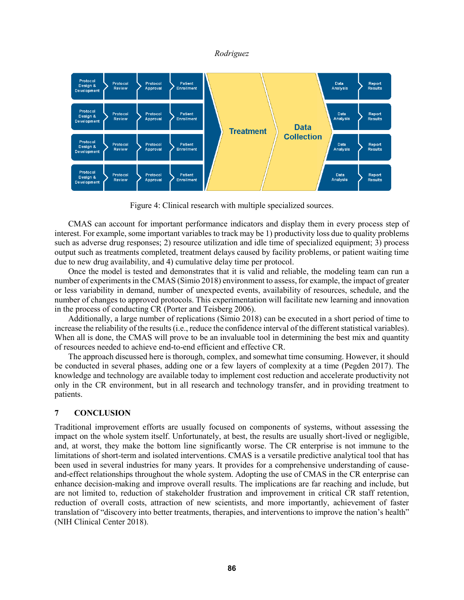

Figure 4: Clinical research with multiple specialized sources.

CMAS can account for important performance indicators and display them in every process step of interest. For example, some important variables to track may be 1) productivity loss due to quality problems such as adverse drug responses; 2) resource utilization and idle time of specialized equipment; 3) process output such as treatments completed, treatment delays caused by facility problems, or patient waiting time due to new drug availability, and 4) cumulative delay time per protocol.

Once the model is tested and demonstrates that it is valid and reliable, the modeling team can run a number of experiments in the CMAS (Simio 2018) environment to assess, for example, the impact of greater or less variability in demand, number of unexpected events, availability of resources, schedule, and the number of changes to approved protocols. This experimentation will facilitate new learning and innovation in the process of conducting CR (Porter and Teisberg 2006).

Additionally, a large number of replications (Simio 2018) can be executed in a short period of time to increase the reliability of the results (i.e., reduce the confidence interval of the different statistical variables). When all is done, the CMAS will prove to be an invaluable tool in determining the best mix and quantity of resources needed to achieve end-to-end efficient and effective CR.

The approach discussed here is thorough, complex, and somewhat time consuming. However, it should be conducted in several phases, adding one or a few layers of complexity at a time (Pegden 2017). The knowledge and technology are available today to implement cost reduction and accelerate productivity not only in the CR environment, but in all research and technology transfer, and in providing treatment to patients.

# **7 CONCLUSION**

Traditional improvement efforts are usually focused on components of systems, without assessing the impact on the whole system itself. Unfortunately, at best, the results are usually short-lived or negligible, and, at worst, they make the bottom line significantly worse. The CR enterprise is not immune to the limitations of short-term and isolated interventions. CMAS is a versatile predictive analytical tool that has been used in several industries for many years. It provides for a comprehensive understanding of causeand-effect relationships throughout the whole system. Adopting the use of CMAS in the CR enterprise can enhance decision-making and improve overall results. The implications are far reaching and include, but are not limited to, reduction of stakeholder frustration and improvement in critical CR staff retention, reduction of overall costs, attraction of new scientists, and more importantly, achievement of faster translation of "discovery into better treatments, therapies, and interventions to improve the nation's health" (NIH Clinical Center 2018).